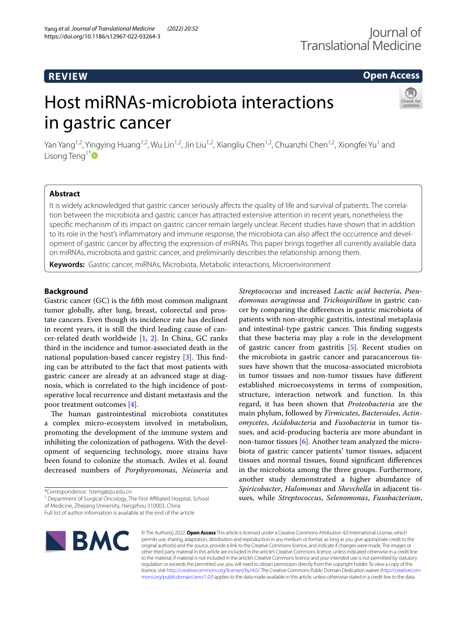# **REVIEW**

# **Open Access**

# Host miRNAs-microbiota interactions in gastric cancer



Yan Yang<sup>1,2</sup>, Yingying Huang<sup>1,2</sup>, Wu Lin<sup>1,2</sup>, Jin Liu<sup>1,2</sup>, Xiangliu Chen<sup>1,2</sup>, Chuanzhi Chen<sup>1,2</sup>, Xiongfei Yu<sup>1</sup> and Lisong Teng<sup>1[\\*](http://orcid.org/0000-0001-6470-9017)</sup>

# **Abstract**

It is widely acknowledged that gastric cancer seriously afects the quality of life and survival of patients. The correlation between the microbiota and gastric cancer has attracted extensive attention in recent years, nonetheless the specifc mechanism of its impact on gastric cancer remain largely unclear. Recent studies have shown that in addition to its role in the host's infammatory and immune response, the microbiota can also afect the occurrence and development of gastric cancer by afecting the expression of miRNAs. This paper brings together all currently available data on miRNAs, microbiota and gastric cancer, and preliminarily describes the relationship among them.

**Keywords:** Gastric cancer, miRNAs, Microbiota, Metabolic interactions, Microenvironment

# **Background**

Gastric cancer (GC) is the ffth most common malignant tumor globally, after lung, breast, colorectal and prostate cancers. Even though its incidence rate has declined in recent years, it is still the third leading cause of cancer-related death worldwide [\[1](#page-5-0), [2](#page-5-1)]. In China, GC ranks third in the incidence and tumor-associated death in the national population-based cancer registry  $[3]$  $[3]$ . This finding can be attributed to the fact that most patients with gastric cancer are already at an advanced stage at diagnosis, which is correlated to the high incidence of postoperative local recurrence and distant metastasis and the poor treatment outcomes [\[4](#page-5-3)].

The human gastrointestinal microbiota constitutes a complex micro-ecosystem involved in metabolism, promoting the development of the immune system and inhibiting the colonization of pathogens. With the development of sequencing technology, more strains have been found to colonize the stomach. Aviles et al. found decreased numbers of *Porphyromonas*, *Neisseria* and

<sup>1</sup> Department of Surgical Oncology, The First Affiliated Hospital, School

Full list of author information is available at the end of the article



© The Author(s) 2022. **Open Access** This article is licensed under a Creative Commons Attribution 4.0 International License, which permits use, sharing, adaptation, distribution and reproduction in any medium or format, as long as you give appropriate credit to the original author(s) and the source, provide a link to the Creative Commons licence, and indicate if changes were made. The images or other third party material in this article are included in the article's Creative Commons licence, unless indicated otherwise in a credit line to the material. If material is not included in the article's Creative Commons licence and your intended use is not permitted by statutory regulation or exceeds the permitted use, you will need to obtain permission directly from the copyright holder. To view a copy of this licence, visit [http://creativecommons.org/licenses/by/4.0/.](http://creativecommons.org/licenses/by/4.0/) The Creative Commons Public Domain Dedication waiver ([http://creativecom](http://creativecommons.org/publicdomain/zero/1.0/)[mons.org/publicdomain/zero/1.0/\)](http://creativecommons.org/publicdomain/zero/1.0/) applies to the data made available in this article, unless otherwise stated in a credit line to the data.

*Streptococcus* and increased *Lactic acid bacteria*, *Pseudomonas aeruginosa* and *Trichospirillum* in gastric cancer by comparing the diferences in gastric microbiota of patients with non-atrophic gastritis, intestinal metaplasia and intestinal-type gastric cancer. This finding suggests that these bacteria may play a role in the development of gastric cancer from gastritis [[5\]](#page-5-4). Recent studies on the microbiota in gastric cancer and paracancerous tissues have shown that the mucosa-associated microbiota in tumor tissues and non-tumor tissues have diferent established microecosystems in terms of composition, structure, interaction network and function. In this regard, it has been shown that *Proteobacteria* are the main phylum, followed by *Firmicutes*, *Bacteroides*, *Actinomycetes*, *Acidobacteria* and *Fusobacteria* in tumor tissues, and acid-producing bacteria are more abundant in non-tumor tissues  $[6]$  $[6]$ . Another team analyzed the microbiota of gastric cancer patients' tumor tissues, adjacent tissues and normal tissues, found signifcant diferences in the microbiota among the three groups. Furthermore, another study demonstrated a higher abundance of *Spiricobacter*, *Halomonas* and *Shevchella* in adjacent tissues, while *Streptococcus*, *Selenomonas*, *Fusobacterium*,

<sup>\*</sup>Correspondence: lsteng@zju.edu.cn

of Medicine, Zhejiang University, Hangzhou 310003, China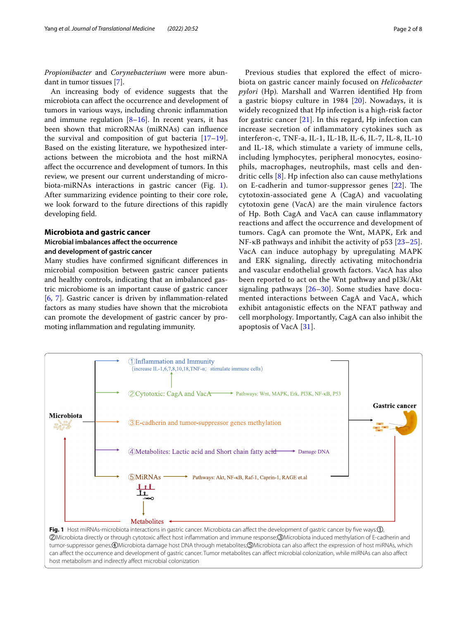*Propionibacter* and *Corynebacterium* were more abundant in tumor tissues [\[7](#page-5-6)].

An increasing body of evidence suggests that the microbiota can afect the occurrence and development of tumors in various ways, including chronic infammation and immune regulation  $[8-16]$  $[8-16]$  $[8-16]$ . In recent years, it has been shown that microRNAs (miRNAs) can infuence the survival and composition of gut bacteria  $[17-19]$  $[17-19]$  $[17-19]$ . Based on the existing literature, we hypothesized interactions between the microbiota and the host miRNA afect the occurrence and development of tumors. In this review, we present our current understanding of microbiota-miRNAs interactions in gastric cancer (Fig. [1](#page-1-0)). After summarizing evidence pointing to their core role, we look forward to the future directions of this rapidly developing feld.

# **Microbiota and gastric cancer Microbial imbalances afect the occurrence**

# **and development of gastric cancer**

Many studies have confrmed signifcant diferences in microbial composition between gastric cancer patients and healthy controls, indicating that an imbalanced gastric microbiome is an important cause of gastric cancer [[6,](#page-5-5) [7\]](#page-5-6). Gastric cancer is driven by infammation-related factors as many studies have shown that the microbiota can promote the development of gastric cancer by promoting infammation and regulating immunity.

Previous studies that explored the effect of microbiota on gastric cancer mainly focused on *Helicobacter pylori* (Hp)*.* Marshall and Warren identifed Hp from a gastric biopsy culture in  $1984$   $[20]$  $[20]$ . Nowadays, it is widely recognized that Hp infection is a high-risk factor for gastric cancer  $[21]$  $[21]$ . In this regard, Hp infection can increase secretion of infammatory cytokines such as interferon-c, TNF-a, IL-1, IL-1B, IL-6, IL-7, IL-8, IL-10 and IL-18, which stimulate a variety of immune cells, including lymphocytes, peripheral monocytes, eosinophils, macrophages, neutrophils, mast cells and dendritic cells [[8](#page-5-7)]. Hp infection also can cause methylations on E-cadherin and tumor-suppressor genes  $[22]$  $[22]$ . The cytotoxin-associated gene A (CagA) and vacuolating cytotoxin gene (VacA) are the main virulence factors of Hp. Both CagA and VacA can cause infammatory reactions and afect the occurrence and development of tumors. CagA can promote the Wnt, MAPK, Erk and NF-κB pathways and inhibit the activity of p53 [[23–](#page-5-14)[25](#page-5-15)]. VacA can induce autophagy by upregulating MAPK and ERK signaling, directly activating mitochondria and vascular endothelial growth factors. VacA has also been reported to act on the Wnt pathway and pI3k/Akt signaling pathways [[26](#page-5-16)[–30](#page-6-0)]. Some studies have documented interactions between CagA and VacA, which exhibit antagonistic efects on the NFAT pathway and cell morphology. Importantly, CagA can also inhibit the apoptosis of VacA [\[31](#page-6-1)].



<span id="page-1-0"></span>host metabolism and indirectly afect microbial colonization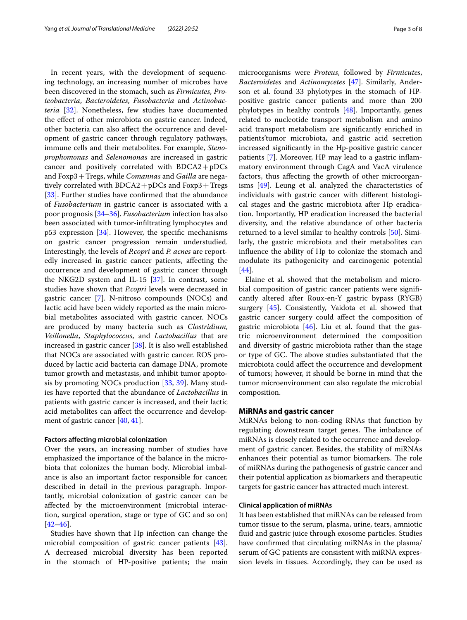In recent years, with the development of sequencing technology, an increasing number of microbes have been discovered in the stomach, such as *Firmicutes*, *Proteobacteria*, *Bacteroidetes*, *Fusobacteria* and *Actinobacteria* [\[32](#page-6-2)]. Nonetheless, few studies have documented the effect of other microbiota on gastric cancer. Indeed, other bacteria can also afect the occurrence and development of gastric cancer through regulatory pathways, immune cells and their metabolites. For example, *Stenoprophomonas* and *Selenomonas* are increased in gastric cancer and positively correlated with BDCA2+pDCs and Foxp3+Tregs, while *Comannas* and *Gailla* are negatively correlated with  $BDCA2 + pDCs$  and  $Foxp3 + Tregs$ [[33\]](#page-6-3). Further studies have confirmed that the abundance of *Fusobacterium* in gastric cancer is associated with a poor prognosis [[34–](#page-6-4)[36](#page-6-5)]. *Fusobacterium* infection has also been associated with tumor-infltrating lymphocytes and p53 expression [\[34](#page-6-4)]. However, the specifc mechanisms on gastric cancer progression remain understudied. Interestingly, the levels of *P.copri* and *P. acnes* are reportedly increased in gastric cancer patients, afecting the occurrence and development of gastric cancer through the NKG2D system and IL-15 [\[37\]](#page-6-6). In contrast, some studies have shown that *P.copri* levels were decreased in gastric cancer [\[7](#page-5-6)]. N-nitroso compounds (NOCs) and lactic acid have been widely reported as the main microbial metabolites associated with gastric cancer. NOCs are produced by many bacteria such as *Clostridium*, *Veillonella*, *Staphylococcus*, and *Lactobacillus* that are increased in gastric cancer [[38\]](#page-6-7). It is also well established that NOCs are associated with gastric cancer. ROS produced by lactic acid bacteria can damage DNA, promote tumor growth and metastasis, and inhibit tumor apoptosis by promoting NOCs production [[33,](#page-6-3) [39\]](#page-6-8). Many studies have reported that the abundance of *Lactobacillus* in patients with gastric cancer is increased, and their lactic acid metabolites can afect the occurrence and development of gastric cancer [[40,](#page-6-9) [41\]](#page-6-10).

## **Factors afecting microbial colonization**

Over the years, an increasing number of studies have emphasized the importance of the balance in the microbiota that colonizes the human body. Microbial imbalance is also an important factor responsible for cancer, described in detail in the previous paragraph. Importantly, microbial colonization of gastric cancer can be afected by the microenvironment (microbial interaction, surgical operation, stage or type of GC and so on)  $[42-46]$  $[42-46]$  $[42-46]$ .

Studies have shown that Hp infection can change the microbial composition of gastric cancer patients [\[43](#page-6-13)]. A decreased microbial diversity has been reported in the stomach of HP-positive patients; the main microorganisms were *Proteus*, followed by *Firmicutes*, *Bacteroidetes* and *Actinomycetes* [[47\]](#page-6-14). Similarly, Anderson et al. found 33 phylotypes in the stomach of HPpositive gastric cancer patients and more than 200 phylotypes in healthy controls [[48\]](#page-6-15). Importantly, genes related to nucleotide transport metabolism and amino acid transport metabolism are signifcantly enriched in patients'tumor microbiota, and gastric acid secretion increased signifcantly in the Hp-positive gastric cancer patients [[7\]](#page-5-6). Moreover, HP may lead to a gastric infammatory environment through CagA and VacA virulence factors, thus afecting the growth of other microorganisms  $[49]$  $[49]$ . Leung et al. analyzed the characteristics of individuals with gastric cancer with diferent histological stages and the gastric microbiota after Hp eradication. Importantly, HP eradication increased the bacterial diversity, and the relative abundance of other bacteria returned to a level similar to healthy controls [\[50](#page-6-17)]. Similarly, the gastric microbiota and their metabolites can infuence the ability of Hp to colonize the stomach and modulate its pathogenicity and carcinogenic potential [[44\]](#page-6-18).

Elaine et al. showed that the metabolism and microbial composition of gastric cancer patients were signifcantly altered after Roux-en-Y gastric bypass (RYGB) surgery [[45](#page-6-19)]. Consistently, Vaidota et al. showed that gastric cancer surgery could afect the composition of gastric microbiota  $[46]$  $[46]$  $[46]$ . Liu et al. found that the gastric microenvironment determined the composition and diversity of gastric microbiota rather than the stage or type of GC. The above studies substantiated that the microbiota could afect the occurrence and development of tumors; however, it should be borne in mind that the tumor microenvironment can also regulate the microbial composition.

# **MiRNAs and gastric cancer**

MiRNAs belong to non-coding RNAs that function by regulating downstream target genes. The imbalance of miRNAs is closely related to the occurrence and development of gastric cancer. Besides, the stability of miRNAs enhances their potential as tumor biomarkers. The role of miRNAs during the pathogenesis of gastric cancer and their potential application as biomarkers and therapeutic targets for gastric cancer has attracted much interest.

# **Clinical application of miRNAs**

It has been established that miRNAs can be released from tumor tissue to the serum, plasma, urine, tears, amniotic fuid and gastric juice through exosome particles. Studies have confrmed that circulating miRNAs in the plasma/ serum of GC patients are consistent with miRNA expression levels in tissues. Accordingly, they can be used as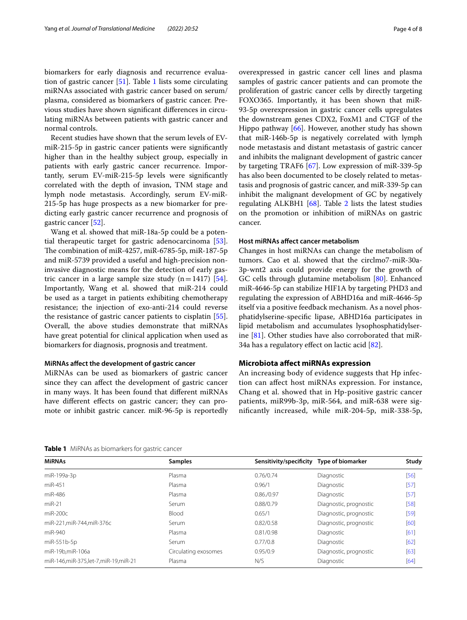biomarkers for early diagnosis and recurrence evaluation of gastric cancer [\[51\]](#page-6-20). Table [1](#page-3-0) lists some circulating miRNAs associated with gastric cancer based on serum/ plasma, considered as biomarkers of gastric cancer. Previous studies have shown signifcant diferences in circulating miRNAs between patients with gastric cancer and normal controls.

Recent studies have shown that the serum levels of EVmiR-215-5p in gastric cancer patients were signifcantly higher than in the healthy subject group, especially in patients with early gastric cancer recurrence. Importantly, serum EV-miR-215-5p levels were signifcantly correlated with the depth of invasion, TNM stage and lymph node metastasis. Accordingly, serum EV-miR-215-5p has huge prospects as a new biomarker for predicting early gastric cancer recurrence and prognosis of gastric cancer [[52\]](#page-6-21).

Wang et al. showed that miR-18a-5p could be a potential therapeutic target for gastric adenocarcinoma [\[53](#page-6-22)]. The combination of miR-4257, miR-6785-5p, miR-187-5p and miR-5739 provided a useful and high-precision noninvasive diagnostic means for the detection of early gastric cancer in a large sample size study  $(n=1417)$  [\[54](#page-6-23)]. Importantly, Wang et al. showed that miR-214 could be used as a target in patients exhibiting chemotherapy resistance; the injection of exo-anti-214 could reverse the resistance of gastric cancer patients to cisplatin [\[55](#page-6-24)]. Overall, the above studies demonstrate that miRNAs have great potential for clinical application when used as biomarkers for diagnosis, prognosis and treatment.

# **MiRNAs afect the development of gastric cancer**

MiRNAs can be used as biomarkers of gastric cancer since they can afect the development of gastric cancer in many ways. It has been found that diferent miRNAs have different effects on gastric cancer; they can promote or inhibit gastric cancer. miR-96-5p is reportedly overexpressed in gastric cancer cell lines and plasma samples of gastric cancer patients and can promote the proliferation of gastric cancer cells by directly targeting FOXO365. Importantly, it has been shown that miR-93-5p overexpression in gastric cancer cells upregulates the downstream genes CDX2, FoxM1 and CTGF of the Hippo pathway [\[66](#page-6-25)]. However, another study has shown that miR-146b-5p is negatively correlated with lymph node metastasis and distant metastasis of gastric cancer and inhibits the malignant development of gastric cancer by targeting TRAF6 [\[67](#page-6-26)]. Low expression of miR-339-5p has also been documented to be closely related to metastasis and prognosis of gastric cancer, and miR-339-5p can inhibit the malignant development of GC by negatively regulating ALKBH1  $[68]$  $[68]$ . Table [2](#page-4-0) lists the latest studies on the promotion or inhibition of miRNAs on gastric cancer.

### **Host miRNAs afect cancer metabolism**

Changes in host miRNAs can change the metabolism of tumors. Cao et al. showed that the circlmo7-miR-30a-3p-wnt2 axis could provide energy for the growth of GC cells through glutamine metabolism [\[80](#page-7-0)]. Enhanced miR-4646-5p can stabilize HIF1A by targeting PHD3 and regulating the expression of ABHD16a and miR-4646-5p itself via a positive feedback mechanism. As a novel phosphatidylserine-specifc lipase, ABHD16a participates in lipid metabolism and accumulates lysophosphatidylserine [[81](#page-7-1)]. Other studies have also corroborated that miR-34a has a regulatory efect on lactic acid [[82\]](#page-7-2).

# **Microbiota afect miRNAs expression**

An increasing body of evidence suggests that Hp infection can afect host miRNAs expression. For instance, Chang et al. showed that in Hp-positive gastric cancer patients, miR99b-3p, miR-564, and miR-638 were signifcantly increased, while miR-204-5p, miR-338-5p,

<span id="page-3-0"></span>

| Table 1 MiRNAs as biomarkers for gastric cancer |  |
|-------------------------------------------------|--|
|-------------------------------------------------|--|

| <b>MIRNAs</b>                       | <b>Samples</b>       | Sensitivity/specificity | <b>Type of biomarker</b> | Study  |  |
|-------------------------------------|----------------------|-------------------------|--------------------------|--------|--|
| miR-199a-3p                         | Plasma               | 0.76/0.74               | Diagnostic               | $[56]$ |  |
| miR-451                             | Plasma               | 0.96/1                  | Diagnostic               | $[57]$ |  |
| miR-486                             | Plasma               | 0.86./0.97              | Diagnostic               | [57]   |  |
| $miR-21$                            | Serum                | 0.88/0.79               | Diagnostic, prognostic   | $[58]$ |  |
| $miR-200c$                          | Blood                | 0.65/1                  | Diagnostic, prognostic   | $[59]$ |  |
| miR-221, miR-744, miR-376c          | Serum                | 0.82/0.58               | Diagnostic, prognostic   | [60]   |  |
| miR-940                             | Plasma               | 0.81/0.98               | Diagnostic               | [61]   |  |
| miR-551b-5p                         | Serum                | 0.77/0.8                | Diagnostic               | [62]   |  |
| miR-19b,miR-106a                    | Circulating exosomes | 0.95/0.9                | Diagnostic, prognostic   | [63]   |  |
| miR-146,miR-375,let-7,miR-19,miR-21 | Plasma               | N/S                     | Diagnostic               | [64]   |  |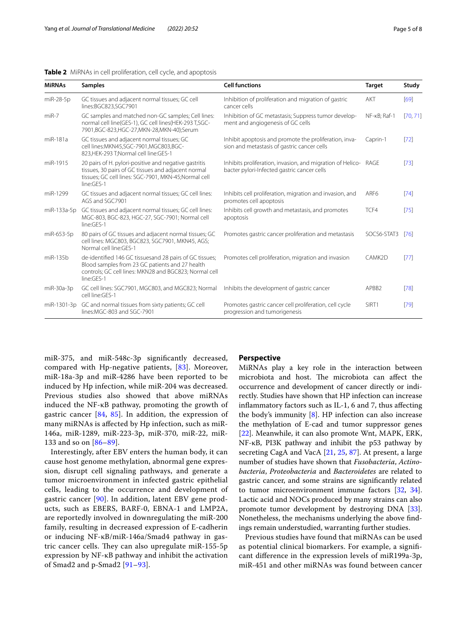## <span id="page-4-0"></span>**Table 2** MiRNAs in cell proliferation, cell cycle, and apoptosis

| <b>MIRNAs</b> | <b>Samples</b>                                                                                                                                                                               | <b>Cell functions</b>                                                                                          | <b>Target</b>     | Study    |
|---------------|----------------------------------------------------------------------------------------------------------------------------------------------------------------------------------------------|----------------------------------------------------------------------------------------------------------------|-------------------|----------|
| miR-28-5p     | GC tissues and adjacent normal tissues; GC cell<br>lines:BGC823,SGC7901                                                                                                                      | Inhibition of proliferation and migration of gastric<br>cancer cells                                           | <b>AKT</b>        | [69]     |
| $miR-7$       | GC samples and matched non-GC samples; Cell lines:<br>normal cell line(GES-1), GC cell lines(HEK-293 T,SGC-<br>7901,BGC-823,HGC-27,MKN-28,MKN-40);Serum                                      | Inhibition of GC metastasis; Suppress tumor develop-<br>ment and angiogenesis of GC cells                      | NF-KB: Raf-1      | [70, 71] |
| miR-181a      | GC tissues and adjacent normal tissues; GC<br>cell lines:MKN45,SGC-7901,MGC803,BGC-<br>823,HEK-293 T;Normal cell line:GES-1                                                                  | Inhibit apoptosis and promote the proliferation, inva-<br>sion and metastasis of gastric cancer cells          | Caprin-1          | $[72]$   |
| miR-1915      | 20 pairs of H. pylori-positive and negative gastritis<br>tissues, 30 pairs of GC tissues and adjacent normal<br>tissues; GC cell lines: SGC-7901, MKN-45; Normal cell<br>line:GES-1          | Inhibits proliferation, invasion, and migration of Helico- RAGE<br>bacter pylori-Infected gastric cancer cells |                   | $[73]$   |
| miR-1299      | GC tissues and adjacent normal tissues; GC cell lines:<br>AGS and SGC7901                                                                                                                    | Inhibits cell proliferation, migration and invasion, and<br>promotes cell apoptosis                            | ARF <sub>6</sub>  | [74]     |
| miR-133a-5p   | GC tissues and adjacent normal tissues; GC cell lines:<br>MGC-803, BGC-823, HGC-27, SGC-7901; Normal cell<br>line:GES-1                                                                      | Inhibits cell growth and metastasis, and promotes<br>apoptosis                                                 | TCF4              | [75]     |
| miR-653-5p    | 80 pairs of GC tissues and adjacent normal tissues; GC<br>Promotes gastric cancer proliferation and metastasis<br>cell lines: MGC803, BGC823, SGC7901, MKN45, AGS;<br>Normal cell line:GES-1 |                                                                                                                | SOCS6-STAT3       | [76]     |
| miR-135b      | de-identified 146 GC tissuesand 28 pairs of GC tissues;<br>Blood samples from 23 GC patients and 27 health<br>controls; GC cell lines: MKN28 and BGC823; Normal cell<br>line:GES-1           | Promotes cell proliferation, migration and invasion                                                            |                   | [77]     |
| $miR-30a-3p$  | GC cell lines: SGC7901, MGC803, and MGC823; Normal<br>cell line:GFS-1                                                                                                                        | Inhibits the development of gastric cancer                                                                     | APBB <sub>2</sub> | [78]     |
| miR-1301-3p   | GC and normal tissues from sixty patients; GC cell<br>lines:MGC-803 and SGC-7901                                                                                                             | Promotes gastric cancer cell proliferation, cell cycle<br>progression and tumorigenesis                        | SIRT1             | [79]     |

miR-375, and miR-548c-3p signifcantly decreased, compared with Hp-negative patients, [\[83](#page-7-3)]. Moreover, miR-18a-3p and miR-4286 have been reported to be induced by Hp infection, while miR-204 was decreased. Previous studies also showed that above miRNAs induced the NF-κB pathway, promoting the growth of gastric cancer [\[84](#page-7-4), [85](#page-7-5)]. In addition, the expression of many miRNAs is afected by Hp infection, such as miR-146a, miR-1289, miR-223-3p, miR-370, miR-22, miR-133 and so on [[86–](#page-7-6)[89](#page-7-7)].

Interestingly, after EBV enters the human body, it can cause host genome methylation, abnormal gene expression, disrupt cell signaling pathways, and generate a tumor microenvironment in infected gastric epithelial cells, leading to the occurrence and development of gastric cancer [[90\]](#page-7-8). In addition, latent EBV gene products, such as EBERS, BARF-0, EBNA-1 and LMP2A, are reportedly involved in downregulating the miR-200 family, resulting in decreased expression of E-cadherin or inducing NF-κB/miR-146a/Smad4 pathway in gastric cancer cells. They can also upregulate  $miR-155-5p$ expression by NF-κB pathway and inhibit the activation of Smad2 and p-Smad2 [[91–](#page-7-9)[93](#page-7-10)].

## **Perspective**

MiRNAs play a key role in the interaction between microbiota and host. The microbiota can affect the occurrence and development of cancer directly or indirectly. Studies have shown that HP infection can increase infammatory factors such as IL-1, 6 and 7, thus afecting the body's immunity  $[8]$  $[8]$ . HP infection can also increase the methylation of E-cad and tumor suppressor genes [[22\]](#page-5-13). Meanwhile, it can also promote Wnt, MAPK, ERK, NF-κB, PI3K pathway and inhibit the p53 pathway by secreting CagA and VacA [[21,](#page-5-12) [25,](#page-5-15) [87](#page-7-11)]. At present, a large number of studies have shown that *Fusobacteria*, *Actinobacteria*, *Proteobacteria* and *Bacteroidetes* are related to gastric cancer, and some strains are signifcantly related to tumor microenvironment immune factors [\[32](#page-6-2), [34](#page-6-4)]. Lactic acid and NOCs produced by many strains can also promote tumor development by destroying DNA [\[33](#page-6-3)]. Nonetheless, the mechanisms underlying the above fndings remain understudied, warranting further studies.

Previous studies have found that miRNAs can be used as potential clinical biomarkers. For example, a signifcant diference in the expression levels of miR199a-3p, miR-451 and other miRNAs was found between cancer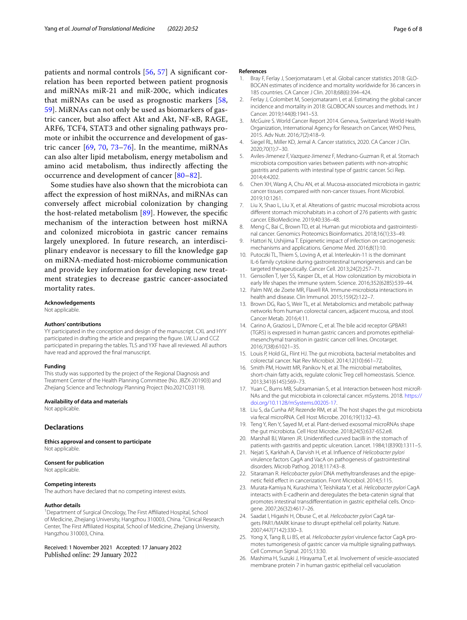patients and normal controls [[56,](#page-6-28) [57\]](#page-6-29) A signifcant correlation has been reported between patient prognosis and miRNAs miR-21 and miR-200c, which indicates that miRNAs can be used as prognostic markers [\[58](#page-6-30), [59\]](#page-6-31). MiRNAs can not only be used as biomarkers of gastric cancer, but also afect Akt and Akt, NF-κB, RAGE, ARF6, TCF4, STAT3 and other signaling pathways promote or inhibit the occurrence and development of gastric cancer  $[69, 70, 73-76]$  $[69, 70, 73-76]$  $[69, 70, 73-76]$  $[69, 70, 73-76]$  $[69, 70, 73-76]$  $[69, 70, 73-76]$ . In the meantime, miRNAs can also alter lipid metabolism, energy metabolism and amino acid metabolism, thus indirectly afecting the occurrence and development of cancer [[80–](#page-7-0)[82](#page-7-2)].

Some studies have also shown that the microbiota can afect the expression of host miRNAs, and miRNAs can conversely afect microbial colonization by changing the host-related metabolism [[89](#page-7-7)]. However, the specifc mechanism of the interaction between host miRNA and colonized microbiota in gastric cancer remains largely unexplored. In future research, an interdisciplinary endeavor is necessary to fll the knowledge gap on miRNA-mediated host-microbiome communication and provide key information for developing new treatment strategies to decrease gastric cancer-associated mortality rates.

#### **Acknowledgements**

Not applicable.

#### **Authors' contributions**

YY participated in the conception and design of the manuscript. CXL and HYY participated in drafting the article and preparing the fgure. LW, LJ and CCZ participated in preparing the tables. TLS and YXF have all reviewed. All authors have read and approved the fnal manuscript.

#### **Funding**

This study was supported by the project of the Regional Diagnosis and Treatment Center of the Health Planning Committee (No. JBZX-201903) and Zhejiang Science and Technology Planning Project (No.2021C03119).

#### **Availability of data and materials**

Not applicable.

#### **Declarations**

**Ethics approval and consent to participate** Not applicable.

#### **Consent for publication**

Not applicable.

#### **Competing interests**

The authors have declared that no competing interest exists.

#### **Author details**

<sup>1</sup> Department of Surgical Oncology, The First Affiliated Hospital, School of Medicine, Zhejiang University, Hangzhou 310003, China. <sup>2</sup>Clinical Research Center, The First Afliated Hospital, School of Medicine, Zhejiang University, Hangzhou 310003, China.

Received: 1 November 2021 Accepted: 17 January 2022 Published online: 29 January 2022

#### **References**

- <span id="page-5-0"></span>1. Bray F, Ferlay J, Soerjomataram I, et al. Global cancer statistics 2018: GLO-BOCAN estimates of incidence and mortality worldwide for 36 cancers in 185 countries. CA Cancer J Clin. 2018;68(6):394–424.
- <span id="page-5-1"></span>2. Ferlay J, Colombet M, Soerjomataram I, et al. Estimating the global cancer incidence and mortality in 2018: GLOBOCAN sources and methods. Int J Cancer. 2019;144(8):1941–53.
- <span id="page-5-2"></span>3. McGuire S. World Cancer Report 2014. Geneva, Switzerland: World Health Organization, International Agency for Research on Cancer, WHO Press, 2015. Adv Nutr. 2016;7(2):418–9.
- <span id="page-5-3"></span>4. Siegel RL, Miller KD, Jemal A. Cancer statistics, 2020. CA Cancer J Clin. 2020;70(1):7–30.
- <span id="page-5-4"></span>5. Aviles-Jimenez F, Vazquez-Jimenez F, Medrano-Guzman R, et al. Stomach microbiota composition varies between patients with non-atrophic gastritis and patients with intestinal type of gastric cancer. Sci Rep. 2014;4:4202.
- <span id="page-5-5"></span>6. Chen XH, Wang A, Chu AN, et al. Mucosa-associated microbiota in gastric cancer tissues compared with non-cancer tissues. Front Microbiol. 2019;10:1261.
- <span id="page-5-6"></span>7. Liu X, Shao L, Liu X, et al. Alterations of gastric mucosal microbiota across diferent stomach microhabitats in a cohort of 276 patients with gastric cancer. EBioMedicine. 2019;40:336–48.
- <span id="page-5-7"></span>8. Meng C, Bai C, Brown TD, et al. Human gut microbiota and gastrointestinal cancer. Genomics Proteomics Bioinformatics. 2018;16(1):33–49.
- 9. Hattori N, Ushijima T. Epigenetic impact of infection on carcinogenesis: mechanisms and applications. Genome Med. 2016;8(1):10.
- 10. Putoczki TL, Thiem S, Loving A, et al. Interleukin-11 is the dominant IL-6 family cytokine during gastrointestinal tumorigenesis and can be targeted therapeutically. Cancer Cell. 2013;24(2):257–71.
- 11. Gensollen T, Iyer SS, Kasper DL, et al. How colonization by microbiota in early life shapes the immune system. Science. 2016;352(6285):539–44.
- 12. Palm NW, de Zoete MR, Flavell RA. Immune-microbiota interactions in health and disease. Clin Immunol. 2015;159(2):122–7.
- 13. Brown DG, Rao S, Weir TL, et al. Metabolomics and metabolic pathway networks from human colorectal cancers, adjacent mucosa, and stool. Cancer Metab. 2016;4:11.
- 14. Carino A, Graziosi L, D'Amore C, et al. The bile acid receptor GPBAR1 (TGR5) is expressed in human gastric cancers and promotes epithelialmesenchymal transition in gastric cancer cell lines. Oncotarget. 2016;7(38):61021–35.
- 15. Louis P, Hold GL, Flint HJ. The gut microbiota, bacterial metabolites and colorectal cancer. Nat Rev Microbiol. 2014;12(10):661–72.
- <span id="page-5-8"></span>16. Smith PM, Howitt MR, Panikov N, et al. The microbial metabolites, short-chain fatty acids, regulate colonic Treg cell homeostasis. Science. 2013;341(6145):569–73.
- <span id="page-5-9"></span>17. Yuan C, Burns MB, Subramanian S, et al. Interaction between host microR-NAs and the gut microbiota in colorectal cancer. mSystems. 2018. [https://](https://doi.org/10.1128/mSystems.00205-17) [doi.org/10.1128/mSystems.00205-17](https://doi.org/10.1128/mSystems.00205-17).
- 18. Liu S, da Cunha AP, Rezende RM, et al. The host shapes the gut microbiota via fecal microRNA. Cell Host Microbe. 2016;19(1):32–43.
- <span id="page-5-10"></span>19. Teng Y, Ren Y, Sayed M, et al. Plant-derived exosomal microRNAs shape the gut microbiota. Cell Host Microbe. 2018;24(5):637-652.e8.
- <span id="page-5-11"></span>20. Marshall BJ, Warren JR. Unidentifed curved bacilli in the stomach of patients with gastritis and peptic ulceration. Lancet. 1984;1(8390):1311–5.
- <span id="page-5-12"></span>21. Nejati S, Karkhah A, Darvish H, et al. Infuence of *Helicobacter pylori* virulence factors CagA and VacA on pathogenesis of gastrointestinal disorders. Microb Pathog. 2018;117:43–8.
- <span id="page-5-13"></span>22. Sitaraman R. *Helicobacter pylori* DNA methyltransferases and the epigenetic feld efect in cancerization. Front Microbiol. 2014;5:115.
- <span id="page-5-14"></span>23. Murata-Kamiya N, Kurashima Y, Teishikata Y, et al. *Helicobacter pylori* CagA interacts with E-cadherin and deregulates the beta-catenin signal that promotes intestinal transdiferentiation in gastric epithelial cells. Oncogene. 2007;26(32):4617–26.
- 24. Saadat I, Higashi H, Obuse C, et al. *Helicobacter pylori* CagA targets PAR1/MARK kinase to disrupt epithelial cell polarity. Nature. 2007;447(7142):330–3.
- <span id="page-5-15"></span>25. Yong X, Tang B, Li BS, et al. *Helicobacter pylori* virulence factor CagA promotes tumorigenesis of gastric cancer via multiple signaling pathways. Cell Commun Signal. 2015;13:30.
- <span id="page-5-16"></span>26. Mashima H, Suzuki J, Hirayama T, et al. Involvement of vesicle-associated membrane protein 7 in human gastric epithelial cell vacuolation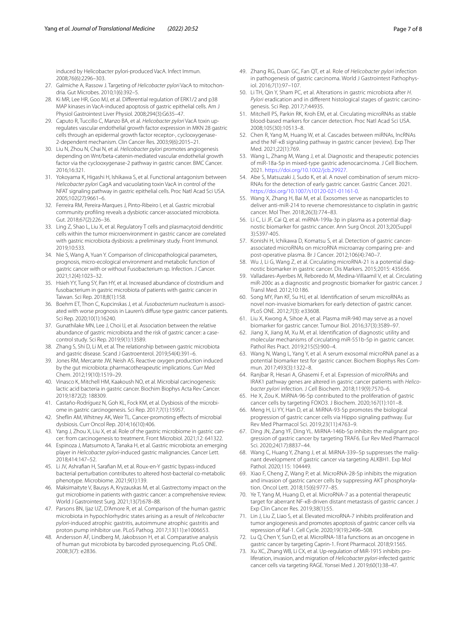induced by Helicobacter pylori-produced VacA. Infect Immun. 2008;76(6):2296–303.

- 27. Galmiche A, Rassow J. Targeting of *Helicobacter pylori* VacA to mitochondria. Gut Microbes. 2010;1(6):392–5.
- 28. Ki MR, Lee HR, Goo MJ, et al. Diferential regulation of ERK1/2 and p38 MAP kinases in VacA-induced apoptosis of gastric epithelial cells. Am J Physiol Gastrointest Liver Physiol. 2008;294(3):G635–47.
- 29. Caputo R, Tuccillo C, Manzo BA, et al. *Helicobacter pylori* VacA toxin upregulates vascular endothelial growth factor expression in MKN 28 gastric cells through an epidermal growth factor receptor-, cyclooxygenase-2-dependent mechanism. Clin Cancer Res. 2003;9(6):2015–21.
- <span id="page-6-0"></span>30. Liu N, Zhou N, Chai N, et al. *Helicobacter pylori* promotes angiogenesis depending on Wnt/beta-catenin-mediated vascular endothelial growth factor via the cyclooxygenase-2 pathway in gastric cancer. BMC Cancer. 2016;16:321.
- <span id="page-6-1"></span>31. Yokoyama K, Higashi H, Ishikawa S, et al. Functional antagonism between *Helicobacter pylori* CagA and vacuolating toxin VacA in control of the NFAT signaling pathway in gastric epithelial cells. Proc Natl Acad Sci USA. 2005;102(27):9661–6.
- <span id="page-6-2"></span>32. Ferreira RM, Pereira-Marques J, Pinto-Ribeiro I, et al. Gastric microbial community profling reveals a dysbiotic cancer-associated microbiota. Gut. 2018;67(2):226–36.
- <span id="page-6-3"></span>33. Ling Z, Shao L, Liu X, et al. Regulatory T cells and plasmacytoid dendritic cells within the tumor microenvironment in gastric cancer are correlated with gastric microbiota dysbiosis: a preliminary study. Front Immunol. 2019;10:533.
- <span id="page-6-4"></span>34. Nie S, Wang A, Yuan Y. Comparison of clinicopathological parameters, prognosis, micro-ecological environment and metabolic function of gastric cancer with or without Fusobacterium sp. Infection. J Cancer. 2021;12(4):1023–32.
- 35. Hsieh YY, Tung SY, Pan HY, et al. Increased abundance of clostridium and fusobacterium in gastric microbiota of patients with gastric cancer in Taiwan. Sci Rep. 2018;8(1):158.
- <span id="page-6-5"></span>36. Boehm ET, Thon C, Kupcinskas J, et al. *Fusobacterium nucleatum* is associated with worse prognosis in Lauren's difuse type gastric cancer patients. Sci Rep. 2020;10(1):16240.
- <span id="page-6-6"></span>37. Gunathilake MN, Lee J, Choi IJ, et al. Association between the relative abundance of gastric microbiota and the risk of gastric cancer: a casecontrol study. Sci Rep. 2019;9(1):13589.
- <span id="page-6-7"></span>38. Zhang S, Shi D, Li M, et al. The relationship between gastric microbiota and gastric disease. Scand J Gastroenterol. 2019;54(4):391–6.
- <span id="page-6-8"></span>39. Jones RM, Mercante JW, Neish AS. Reactive oxygen production induced by the gut microbiota: pharmacotherapeutic implications. Curr Med Chem. 2012;19(10):1519–29.
- <span id="page-6-9"></span>40. Vinasco K, Mitchell HM, Kaakoush NO, et al. Microbial carcinogenesis: lactic acid bacteria in gastric cancer. Biochim Biophys Acta Rev Cancer. 2019;1872(2): 188309.
- <span id="page-6-10"></span>41. Castaño-Rodríguez N, Goh KL, Fock KM, et al. Dysbiosis of the microbiome in gastric carcinogenesis. Sci Rep. 2017;7(1):15957.
- <span id="page-6-11"></span>42. Shefin AM, Whitney AK, Weir TL. Cancer-promoting efects of microbial dysbiosis. Curr Oncol Rep. 2014;16(10):406.
- <span id="page-6-13"></span>43. Yang J, Zhou X, Liu X, et al. Role of the gastric microbiome in gastric cancer: from carcinogenesis to treatment. Front Microbiol. 2021;12: 641322.
- <span id="page-6-18"></span>44. Espinoza J, Matsumoto A, Tanaka H, et al. Gastric microbiota: an emerging player in *Helicobacter pylori*-induced gastric malignancies. Cancer Lett. 2018;414:147–52.
- <span id="page-6-19"></span>45. Li JV, Ashrafan H, Sarafan M, et al. Roux-en-Y gastric bypass-induced bacterial perturbation contributes to altered host-bacterial co-metabolic phenotype. Microbiome. 2021;9(1):139.
- <span id="page-6-12"></span>46. Maksimaityte V, Bausys A, Kryzauskas M, et al. Gastrectomy impact on the gut microbiome in patients with gastric cancer: a comprehensive review. World J Gastrointest Surg. 2021;13(7):678–88.
- <span id="page-6-14"></span>47. Parsons BN, Ijaz UZ, D'Amore R, et al. Comparison of the human gastric microbiota in hypochlorhydric states arising as a result of *Helicobacter pylori*-induced atrophic gastritis, autoimmune atrophic gastritis and proton pump inhibitor use. PLoS Pathog. 2017;13(11):e1006653.
- <span id="page-6-15"></span>48. Andersson AF, Lindberg M, Jakobsson H, et al. Comparative analysis of human gut microbiota by barcoded pyrosequencing. PLoS ONE. 2008;3(7): e2836.
- <span id="page-6-16"></span>49. Zhang RG, Duan GC, Fan QT, et al. Role of *Helicobacter pylori* infection in pathogenesis of gastric carcinoma. World J Gastrointest Pathophysiol. 2016;7(1):97–107.
- <span id="page-6-17"></span>50. Li TH, Qin Y, Sham PC, et al. Alterations in gastric microbiota after *H*. *Pylori* eradication and in diferent histological stages of gastric carcinogenesis. Sci Rep. 2017;7:44935.
- <span id="page-6-20"></span>51. Mitchell PS, Parkin RK, Kroh EM, et al. Circulating microRNAs as stable blood-based markers for cancer detection. Proc Natl Acad Sci USA. 2008;105(30):10513–8.
- <span id="page-6-21"></span>52. Chen R, Yang M, Huang W, et al. Cascades between miRNAs, lncRNAs and the NF-κB signaling pathway in gastric cancer (review). Exp Ther Med. 2021;22(1):769.
- <span id="page-6-22"></span>53. Wang L, Zhang M, Wang J, et al. Diagnostic and therapeutic potencies of miR-18a-5p in mixed-type gastric adenocarcinoma. J Cell Biochem. 2021. [https://doi.org/10.1002/jcb.29927.](https://doi.org/10.1002/jcb.29927)
- <span id="page-6-23"></span>54. Abe S, Matsuzaki J, Sudo K, et al. A novel combination of serum micro-RNAs for the detection of early gastric cancer. Gastric Cancer. 2021. [https://doi.org/10.1007/s10120-021-01161-0.](https://doi.org/10.1007/s10120-021-01161-0)
- <span id="page-6-24"></span>55. Wang X, Zhang H, Bai M, et al. Exosomes serve as nanoparticles to deliver anti-miR-214 to reverse chemoresistance to cisplatin in gastric cancer. Mol Ther. 2018;26(3):774–83.
- <span id="page-6-28"></span>56. Li C, Li JF, Cai Q, et al. miRNA-199a-3p in plasma as a potential diagnostic biomarker for gastric cancer. Ann Surg Oncol. 2013;20(Suppl 3):S397-405.
- <span id="page-6-29"></span>57. Konishi H, Ichikawa D, Komatsu S, et al. Detection of gastric cancerassociated microRNAs on microRNA microarray comparing pre- and post-operative plasma. Br J Cancer. 2012;106(4):740–7.
- <span id="page-6-30"></span>58. Wu J, Li G, Wang Z, et al. Circulating microRNA-21 is a potential diagnostic biomarker in gastric cancer. Dis Markers. 2015;2015: 435656.
- <span id="page-6-31"></span>59. Valladares-Ayerbes M, Reboredo M, Medina-Villaamil V, et al. Circulating miR-200c as a diagnostic and prognostic biomarker for gastric cancer. J Transl Med. 2012;10:186.
- <span id="page-6-32"></span>60. Song MY, Pan KF, Su HJ, et al. Identifcation of serum microRNAs as novel non-invasive biomarkers for early detection of gastric cancer. PLoS ONE. 2012;7(3): e33608.
- <span id="page-6-33"></span>61. Liu X, Kwong A, Sihoe A, et al. Plasma miR-940 may serve as a novel biomarker for gastric cancer. Tumour Biol. 2016;37(3):3589–97.
- <span id="page-6-34"></span>62. Jiang X, Jiang M, Xu M, et al. Identifcation of diagnostic utility and molecular mechanisms of circulating miR-551b-5p in gastric cancer. Pathol Res Pract. 2019;215(5):900–4.
- <span id="page-6-35"></span>63. Wang N, Wang L, Yang Y, et al. A serum exosomal microRNA panel as a potential biomarker test for gastric cancer. Biochem Biophys Res Commun. 2017;493(3):1322–8.
- <span id="page-6-36"></span>64. Ranjbar R, Hesari A, Ghasemi F, et al. Expression of microRNAs and IRAK1 pathway genes are altered in gastric cancer patients with *Helicobacter pylori* infection. J Cell Biochem. 2018;119(9):7570–6.
- 65. He X, Zou K. MiRNA-96-5p contributed to the proliferation of gastric cancer cells by targeting FOXO3. J Biochem. 2020;167(1):101–8.
- <span id="page-6-25"></span>66. Meng H, Li YY, Han D, et al. MiRNA-93-5p promotes the biological progression of gastric cancer cells via Hippo signaling pathway. Eur Rev Med Pharmacol Sci. 2019;23(11):4763–9.
- <span id="page-6-26"></span>67. Ding JN, Zang YF, Ding YL. MiRNA-146b-5p inhibits the malignant progression of gastric cancer by targeting TRAF6. Eur Rev Med Pharmacol Sci. 2020;24(17):8837–44.
- <span id="page-6-27"></span>68. Wang C, Huang Y, Zhang J, et al. MiRNA-339–5p suppresses the malignant development of gastric cancer via targeting ALKBH1. Exp Mol Pathol. 2020;115: 104449.
- <span id="page-6-37"></span>69. Xiao F, Cheng Z, Wang P, et al. MicroRNA-28-5p inhibits the migration and invasion of gastric cancer cells by suppressing AKT phosphorylation. Oncol Lett. 2018;15(6):9777–85.
- <span id="page-6-38"></span>70. Ye T, Yang M, Huang D, et al. MicroRNA-7 as a potential therapeutic target for aberrant NF-κB-driven distant metastasis of gastric cancer. J Exp Clin Cancer Res. 2019;38(1):55.
- <span id="page-6-39"></span>71. Lin J, Liu Z, Liao S, et al. Elevated microRNA-7 inhibits proliferation and tumor angiogenesis and promotes apoptosis of gastric cancer cells via repression of Raf-1. Cell Cycle. 2020;19(19):2496–508.
- <span id="page-6-40"></span>72. Lu Q, Chen Y, Sun D, et al. MicroRNA-181a functions as an oncogene in gastric cancer by targeting Caprin-1. Front Pharmacol. 2018;9:1565.
- <span id="page-6-41"></span>73. Xu XC, Zhang WB, Li CX, et al. Up-regulation of MiR-1915 inhibits proliferation, invasion, and migration of *Helicobacter pylori*-infected gastric cancer cells via targeting RAGE. Yonsei Med J. 2019;60(1):38–47.